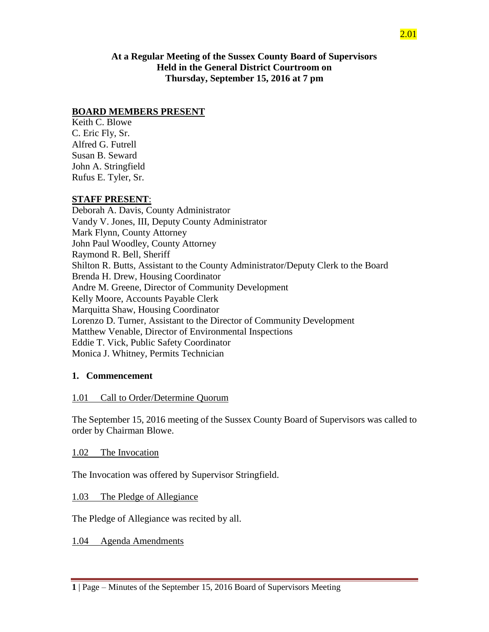**At a Regular Meeting of the Sussex County Board of Supervisors Held in the General District Courtroom on Thursday, September 15, 2016 at 7 pm**

## **BOARD MEMBERS PRESENT**

Keith C. Blowe C. Eric Fly, Sr. Alfred G. Futrell Susan B. Seward John A. Stringfield Rufus E. Tyler, Sr.

#### **STAFF PRESENT**:

Deborah A. Davis, County Administrator Vandy V. Jones, III, Deputy County Administrator Mark Flynn, County Attorney John Paul Woodley, County Attorney Raymond R. Bell, Sheriff Shilton R. Butts, Assistant to the County Administrator/Deputy Clerk to the Board Brenda H. Drew, Housing Coordinator Andre M. Greene, Director of Community Development Kelly Moore, Accounts Payable Clerk Marquitta Shaw, Housing Coordinator Lorenzo D. Turner, Assistant to the Director of Community Development Matthew Venable, Director of Environmental Inspections Eddie T. Vick, Public Safety Coordinator Monica J. Whitney, Permits Technician

### **1. Commencement**

### 1.01 Call to Order/Determine Quorum

The September 15, 2016 meeting of the Sussex County Board of Supervisors was called to order by Chairman Blowe.

#### 1.02 The Invocation

The Invocation was offered by Supervisor Stringfield.

#### 1.03 The Pledge of Allegiance

The Pledge of Allegiance was recited by all.

1.04 Agenda Amendments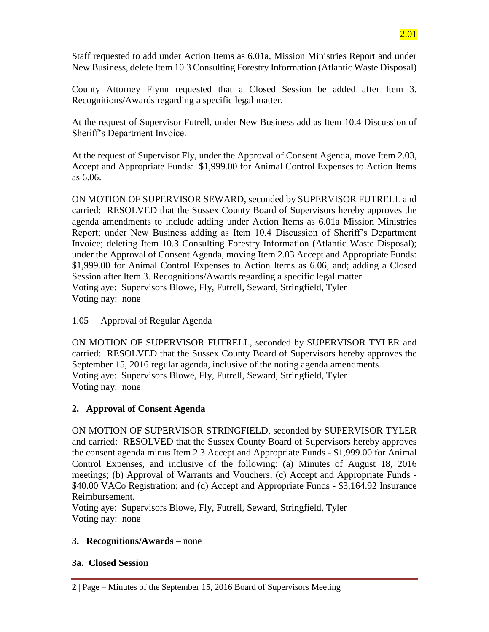Staff requested to add under Action Items as 6.01a, Mission Ministries Report and under New Business, delete Item 10.3 Consulting Forestry Information (Atlantic Waste Disposal)

County Attorney Flynn requested that a Closed Session be added after Item 3. Recognitions/Awards regarding a specific legal matter.

At the request of Supervisor Futrell, under New Business add as Item 10.4 Discussion of Sheriff's Department Invoice.

At the request of Supervisor Fly, under the Approval of Consent Agenda, move Item 2.03, Accept and Appropriate Funds: \$1,999.00 for Animal Control Expenses to Action Items as 6.06.

ON MOTION OF SUPERVISOR SEWARD, seconded by SUPERVISOR FUTRELL and carried: RESOLVED that the Sussex County Board of Supervisors hereby approves the agenda amendments to include adding under Action Items as 6.01a Mission Ministries Report; under New Business adding as Item 10.4 Discussion of Sheriff's Department Invoice; deleting Item 10.3 Consulting Forestry Information (Atlantic Waste Disposal); under the Approval of Consent Agenda, moving Item 2.03 Accept and Appropriate Funds: \$1,999.00 for Animal Control Expenses to Action Items as 6.06, and; adding a Closed Session after Item 3. Recognitions/Awards regarding a specific legal matter. Voting aye: Supervisors Blowe, Fly, Futrell, Seward, Stringfield, Tyler Voting nay: none

# 1.05 Approval of Regular Agenda

ON MOTION OF SUPERVISOR FUTRELL, seconded by SUPERVISOR TYLER and carried: RESOLVED that the Sussex County Board of Supervisors hereby approves the September 15, 2016 regular agenda, inclusive of the noting agenda amendments. Voting aye: Supervisors Blowe, Fly, Futrell, Seward, Stringfield, Tyler Voting nay: none

# **2. Approval of Consent Agenda**

ON MOTION OF SUPERVISOR STRINGFIELD, seconded by SUPERVISOR TYLER and carried: RESOLVED that the Sussex County Board of Supervisors hereby approves the consent agenda minus Item 2.3 Accept and Appropriate Funds - \$1,999.00 for Animal Control Expenses, and inclusive of the following: (a) Minutes of August 18, 2016 meetings; (b) Approval of Warrants and Vouchers; (c) Accept and Appropriate Funds - \$40.00 VACo Registration; and (d) Accept and Appropriate Funds - \$3,164.92 Insurance Reimbursement.

Voting aye: Supervisors Blowe, Fly, Futrell, Seward, Stringfield, Tyler Voting nay: none

# **3. Recognitions/Awards** – none

# **3a. Closed Session**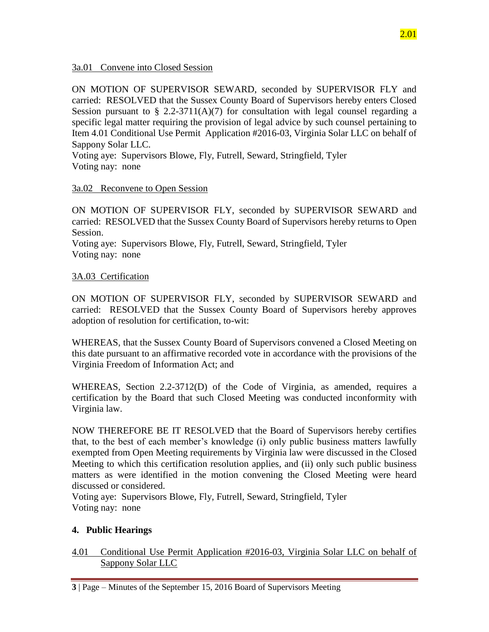3a.01 Convene into Closed Session

ON MOTION OF SUPERVISOR SEWARD, seconded by SUPERVISOR FLY and carried: RESOLVED that the Sussex County Board of Supervisors hereby enters Closed Session pursuant to  $\S$  2.2-3711(A)(7) for consultation with legal counsel regarding a specific legal matter requiring the provision of legal advice by such counsel pertaining to Item 4.01 Conditional Use Permit Application #2016-03, Virginia Solar LLC on behalf of Sappony Solar LLC.

Voting aye: Supervisors Blowe, Fly, Futrell, Seward, Stringfield, Tyler Voting nay: none

#### 3a.02 Reconvene to Open Session

ON MOTION OF SUPERVISOR FLY, seconded by SUPERVISOR SEWARD and carried: RESOLVED that the Sussex County Board of Supervisors hereby returns to Open Session.

Voting aye: Supervisors Blowe, Fly, Futrell, Seward, Stringfield, Tyler Voting nay: none

#### 3A.03 Certification

ON MOTION OF SUPERVISOR FLY, seconded by SUPERVISOR SEWARD and carried: RESOLVED that the Sussex County Board of Supervisors hereby approves adoption of resolution for certification, to-wit:

WHEREAS, that the Sussex County Board of Supervisors convened a Closed Meeting on this date pursuant to an affirmative recorded vote in accordance with the provisions of the Virginia Freedom of Information Act; and

WHEREAS, Section 2.2-3712(D) of the Code of Virginia, as amended, requires a certification by the Board that such Closed Meeting was conducted inconformity with Virginia law.

NOW THEREFORE BE IT RESOLVED that the Board of Supervisors hereby certifies that, to the best of each member's knowledge (i) only public business matters lawfully exempted from Open Meeting requirements by Virginia law were discussed in the Closed Meeting to which this certification resolution applies, and (ii) only such public business matters as were identified in the motion convening the Closed Meeting were heard discussed or considered.

Voting aye: Supervisors Blowe, Fly, Futrell, Seward, Stringfield, Tyler Voting nay: none

### **4. Public Hearings**

4.01 Conditional Use Permit Application #2016-03, Virginia Solar LLC on behalf of Sappony Solar LLC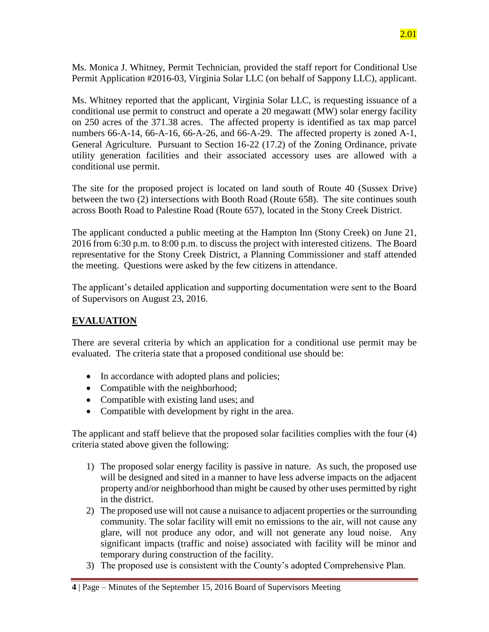Ms. Monica J. Whitney, Permit Technician, provided the staff report for Conditional Use Permit Application #2016-03, Virginia Solar LLC (on behalf of Sappony LLC), applicant.

Ms. Whitney reported that the applicant, Virginia Solar LLC, is requesting issuance of a conditional use permit to construct and operate a 20 megawatt (MW) solar energy facility on 250 acres of the 371.38 acres. The affected property is identified as tax map parcel numbers 66-A-14, 66-A-16, 66-A-26, and 66-A-29. The affected property is zoned A-1, General Agriculture. Pursuant to Section 16-22 (17.2) of the Zoning Ordinance, private utility generation facilities and their associated accessory uses are allowed with a conditional use permit.

The site for the proposed project is located on land south of Route 40 (Sussex Drive) between the two (2) intersections with Booth Road (Route 658). The site continues south across Booth Road to Palestine Road (Route 657), located in the Stony Creek District.

The applicant conducted a public meeting at the Hampton Inn (Stony Creek) on June 21, 2016 from 6:30 p.m. to 8:00 p.m. to discuss the project with interested citizens. The Board representative for the Stony Creek District, a Planning Commissioner and staff attended the meeting. Questions were asked by the few citizens in attendance.

The applicant's detailed application and supporting documentation were sent to the Board of Supervisors on August 23, 2016.

# **EVALUATION**

There are several criteria by which an application for a conditional use permit may be evaluated. The criteria state that a proposed conditional use should be:

- In accordance with adopted plans and policies;
- Compatible with the neighborhood;
- Compatible with existing land uses; and
- Compatible with development by right in the area.

The applicant and staff believe that the proposed solar facilities complies with the four (4) criteria stated above given the following:

- 1) The proposed solar energy facility is passive in nature. As such, the proposed use will be designed and sited in a manner to have less adverse impacts on the adjacent property and/or neighborhood than might be caused by other uses permitted by right in the district.
- 2) The proposed use will not cause a nuisance to adjacent properties or the surrounding community. The solar facility will emit no emissions to the air, will not cause any glare, will not produce any odor, and will not generate any loud noise. Any significant impacts (traffic and noise) associated with facility will be minor and temporary during construction of the facility.
- 3) The proposed use is consistent with the County's adopted Comprehensive Plan.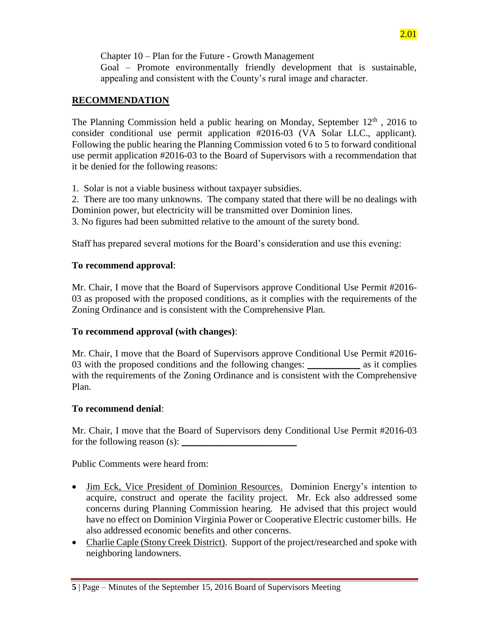Chapter 10 – Plan for the Future - Growth Management

Goal – Promote environmentally friendly development that is sustainable, appealing and consistent with the County's rural image and character.

# **RECOMMENDATION**

The Planning Commission held a public hearing on Monday, September  $12<sup>th</sup>$ , 2016 to consider conditional use permit application #2016-03 (VA Solar LLC., applicant). Following the public hearing the Planning Commission voted 6 to 5 to forward conditional use permit application #2016-03 to the Board of Supervisors with a recommendation that it be denied for the following reasons:

1. Solar is not a viable business without taxpayer subsidies.

2. There are too many unknowns. The company stated that there will be no dealings with Dominion power, but electricity will be transmitted over Dominion lines.

3. No figures had been submitted relative to the amount of the surety bond.

Staff has prepared several motions for the Board's consideration and use this evening:

# **To recommend approval**:

Mr. Chair, I move that the Board of Supervisors approve Conditional Use Permit #2016- 03 as proposed with the proposed conditions, as it complies with the requirements of the Zoning Ordinance and is consistent with the Comprehensive Plan.

# **To recommend approval (with changes)**:

Mr. Chair, I move that the Board of Supervisors approve Conditional Use Permit #2016- 03 with the proposed conditions and the following changes: \_\_\_\_\_\_\_\_\_\_ as it complies with the requirements of the Zoning Ordinance and is consistent with the Comprehensive Plan.

# **To recommend denial**:

Mr. Chair, I move that the Board of Supervisors deny Conditional Use Permit #2016-03 for the following reason  $(s)$ :

Public Comments were heard from:

- Jim Eck, Vice President of Dominion Resources. Dominion Energy's intention to acquire, construct and operate the facility project. Mr. Eck also addressed some concerns during Planning Commission hearing. He advised that this project would have no effect on Dominion Virginia Power or Cooperative Electric customer bills. He also addressed economic benefits and other concerns.
- Charlie Caple (Stony Creek District). Support of the project/researched and spoke with neighboring landowners.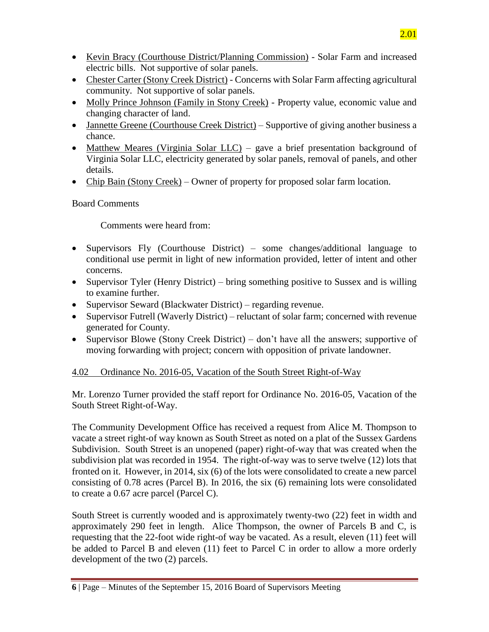- Kevin Bracy (Courthouse District/Planning Commission) Solar Farm and increased electric bills. Not supportive of solar panels.
- Chester Carter (Stony Creek District) Concerns with Solar Farm affecting agricultural community. Not supportive of solar panels.
- Molly Prince Johnson (Family in Stony Creek) Property value, economic value and changing character of land.
- Jannette Greene (Courthouse Creek District) Supportive of giving another business a chance.
- Matthew Meares (Virginia Solar LLC) gave a brief presentation background of Virginia Solar LLC, electricity generated by solar panels, removal of panels, and other details.
- Chip Bain (Stony Creek) Owner of property for proposed solar farm location.

# Board Comments

Comments were heard from:

- Supervisors Fly (Courthouse District) some changes/additional language to conditional use permit in light of new information provided, letter of intent and other concerns.
- Supervisor Tyler (Henry District) bring something positive to Sussex and is willing to examine further.
- Supervisor Seward (Blackwater District) regarding revenue.
- Supervisor Futrell (Waverly District) reluctant of solar farm; concerned with revenue generated for County.
- Supervisor Blowe (Stony Creek District) don't have all the answers; supportive of moving forwarding with project; concern with opposition of private landowner.

# 4.02 Ordinance No. 2016-05, Vacation of the South Street Right-of-Way

Mr. Lorenzo Turner provided the staff report for Ordinance No. 2016-05, Vacation of the South Street Right-of-Way.

The Community Development Office has received a request from Alice M. Thompson to vacate a street right-of way known as South Street as noted on a plat of the Sussex Gardens Subdivision. South Street is an unopened (paper) right-of-way that was created when the subdivision plat was recorded in 1954. The right-of-way was to serve twelve (12) lots that fronted on it. However, in 2014, six (6) of the lots were consolidated to create a new parcel consisting of 0.78 acres (Parcel B). In 2016, the six (6) remaining lots were consolidated to create a 0.67 acre parcel (Parcel C).

South Street is currently wooded and is approximately twenty-two (22) feet in width and approximately 290 feet in length. Alice Thompson, the owner of Parcels B and C, is requesting that the 22-foot wide right-of way be vacated. As a result, eleven (11) feet will be added to Parcel B and eleven (11) feet to Parcel C in order to allow a more orderly development of the two (2) parcels.

**<sup>6</sup>** | Page – Minutes of the September 15, 2016 Board of Supervisors Meeting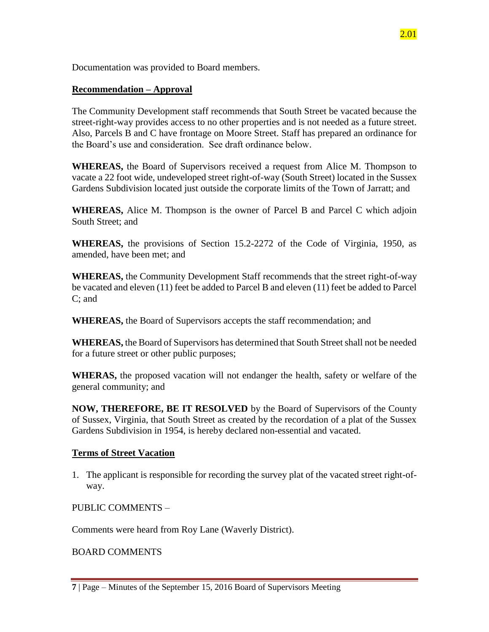2.01

Documentation was provided to Board members.

## **Recommendation – Approval**

The Community Development staff recommends that South Street be vacated because the street-right-way provides access to no other properties and is not needed as a future street. Also, Parcels B and C have frontage on Moore Street. Staff has prepared an ordinance for the Board's use and consideration. See draft ordinance below.

**WHEREAS,** the Board of Supervisors received a request from Alice M. Thompson to vacate a 22 foot wide, undeveloped street right-of-way (South Street) located in the Sussex Gardens Subdivision located just outside the corporate limits of the Town of Jarratt; and

**WHEREAS,** Alice M. Thompson is the owner of Parcel B and Parcel C which adjoin South Street; and

**WHEREAS,** the provisions of Section 15.2-2272 of the Code of Virginia, 1950, as amended, have been met; and

**WHEREAS,** the Community Development Staff recommends that the street right-of-way be vacated and eleven (11) feet be added to Parcel B and eleven (11) feet be added to Parcel C; and

**WHEREAS,** the Board of Supervisors accepts the staff recommendation; and

**WHEREAS,** the Board of Supervisors has determined that South Street shall not be needed for a future street or other public purposes;

**WHERAS,** the proposed vacation will not endanger the health, safety or welfare of the general community; and

**NOW, THEREFORE, BE IT RESOLVED** by the Board of Supervisors of the County of Sussex, Virginia, that South Street as created by the recordation of a plat of the Sussex Gardens Subdivision in 1954, is hereby declared non-essential and vacated.

### **Terms of Street Vacation**

1. The applicant is responsible for recording the survey plat of the vacated street right-ofway.

PUBLIC COMMENTS –

Comments were heard from Roy Lane (Waverly District).

BOARD COMMENTS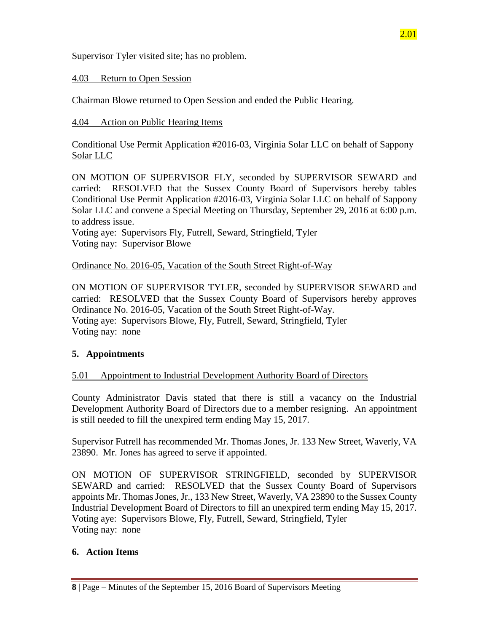Supervisor Tyler visited site; has no problem.

## 4.03 Return to Open Session

Chairman Blowe returned to Open Session and ended the Public Hearing.

## 4.04 Action on Public Hearing Items

Conditional Use Permit Application #2016-03, Virginia Solar LLC on behalf of Sappony Solar LLC

ON MOTION OF SUPERVISOR FLY, seconded by SUPERVISOR SEWARD and carried: RESOLVED that the Sussex County Board of Supervisors hereby tables Conditional Use Permit Application #2016-03, Virginia Solar LLC on behalf of Sappony Solar LLC and convene a Special Meeting on Thursday, September 29, 2016 at 6:00 p.m. to address issue.

Voting aye: Supervisors Fly, Futrell, Seward, Stringfield, Tyler Voting nay: Supervisor Blowe

Ordinance No. 2016-05, Vacation of the South Street Right-of-Way

ON MOTION OF SUPERVISOR TYLER, seconded by SUPERVISOR SEWARD and carried: RESOLVED that the Sussex County Board of Supervisors hereby approves Ordinance No. 2016-05, Vacation of the South Street Right-of-Way. Voting aye: Supervisors Blowe, Fly, Futrell, Seward, Stringfield, Tyler Voting nay: none

# **5. Appointments**

### 5.01 Appointment to Industrial Development Authority Board of Directors

County Administrator Davis stated that there is still a vacancy on the Industrial Development Authority Board of Directors due to a member resigning. An appointment is still needed to fill the unexpired term ending May 15, 2017.

Supervisor Futrell has recommended Mr. Thomas Jones, Jr. 133 New Street, Waverly, VA 23890. Mr. Jones has agreed to serve if appointed.

ON MOTION OF SUPERVISOR STRINGFIELD, seconded by SUPERVISOR SEWARD and carried: RESOLVED that the Sussex County Board of Supervisors appoints Mr. Thomas Jones, Jr., 133 New Street, Waverly, VA 23890 to the Sussex County Industrial Development Board of Directors to fill an unexpired term ending May 15, 2017. Voting aye: Supervisors Blowe, Fly, Futrell, Seward, Stringfield, Tyler Voting nay: none

### **6. Action Items**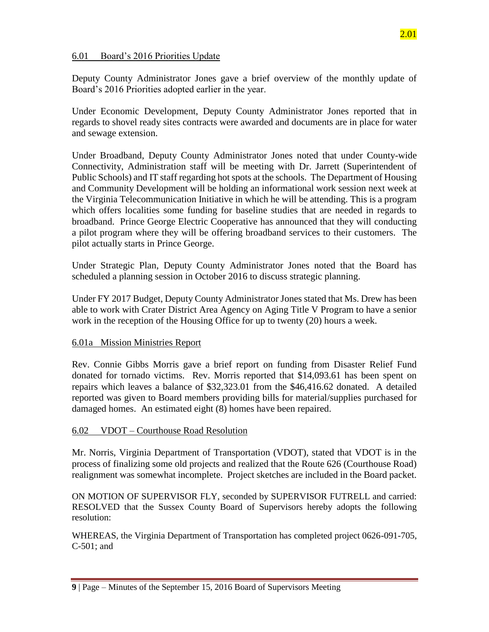#### 6.01 Board's 2016 Priorities Update

Deputy County Administrator Jones gave a brief overview of the monthly update of Board's 2016 Priorities adopted earlier in the year.

Under Economic Development, Deputy County Administrator Jones reported that in regards to shovel ready sites contracts were awarded and documents are in place for water and sewage extension.

Under Broadband, Deputy County Administrator Jones noted that under County-wide Connectivity, Administration staff will be meeting with Dr. Jarrett (Superintendent of Public Schools) and IT staff regarding hot spots at the schools. The Department of Housing and Community Development will be holding an informational work session next week at the Virginia Telecommunication Initiative in which he will be attending. This is a program which offers localities some funding for baseline studies that are needed in regards to broadband. Prince George Electric Cooperative has announced that they will conducting a pilot program where they will be offering broadband services to their customers. The pilot actually starts in Prince George.

Under Strategic Plan, Deputy County Administrator Jones noted that the Board has scheduled a planning session in October 2016 to discuss strategic planning.

Under FY 2017 Budget, Deputy County Administrator Jones stated that Ms. Drew has been able to work with Crater District Area Agency on Aging Title V Program to have a senior work in the reception of the Housing Office for up to twenty (20) hours a week.

#### 6.01a Mission Ministries Report

Rev. Connie Gibbs Morris gave a brief report on funding from Disaster Relief Fund donated for tornado victims. Rev. Morris reported that \$14,093.61 has been spent on repairs which leaves a balance of \$32,323.01 from the \$46,416.62 donated. A detailed reported was given to Board members providing bills for material/supplies purchased for damaged homes. An estimated eight (8) homes have been repaired.

### 6.02 VDOT – Courthouse Road Resolution

Mr. Norris, Virginia Department of Transportation (VDOT), stated that VDOT is in the process of finalizing some old projects and realized that the Route 626 (Courthouse Road) realignment was somewhat incomplete. Project sketches are included in the Board packet.

ON MOTION OF SUPERVISOR FLY, seconded by SUPERVISOR FUTRELL and carried: RESOLVED that the Sussex County Board of Supervisors hereby adopts the following resolution:

WHEREAS, the Virginia Department of Transportation has completed project 0626-091-705, C-501; and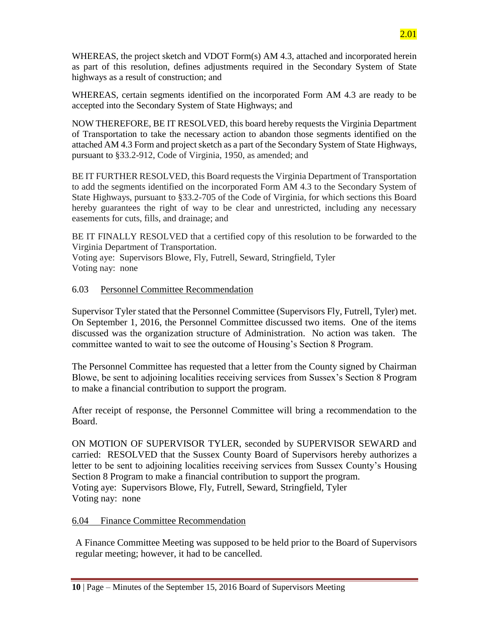WHEREAS, the project sketch and VDOT Form(s) AM 4.3, attached and incorporated herein as part of this resolution, defines adjustments required in the Secondary System of State highways as a result of construction; and

WHEREAS, certain segments identified on the incorporated Form AM 4.3 are ready to be accepted into the Secondary System of State Highways; and

NOW THEREFORE, BE IT RESOLVED, this board hereby requests the Virginia Department of Transportation to take the necessary action to abandon those segments identified on the attached AM 4.3 Form and project sketch as a part of the Secondary System of State Highways, pursuant to §33.2-912, Code of Virginia, 1950, as amended; and

BE IT FURTHER RESOLVED, this Board requests the Virginia Department of Transportation to add the segments identified on the incorporated Form AM 4.3 to the Secondary System of State Highways, pursuant to §33.2-705 of the Code of Virginia, for which sections this Board hereby guarantees the right of way to be clear and unrestricted, including any necessary easements for cuts, fills, and drainage; and

BE IT FINALLY RESOLVED that a certified copy of this resolution to be forwarded to the Virginia Department of Transportation.

Voting aye: Supervisors Blowe, Fly, Futrell, Seward, Stringfield, Tyler Voting nay: none

#### 6.03 Personnel Committee Recommendation

Supervisor Tyler stated that the Personnel Committee (Supervisors Fly, Futrell, Tyler) met. On September 1, 2016, the Personnel Committee discussed two items. One of the items discussed was the organization structure of Administration. No action was taken. The committee wanted to wait to see the outcome of Housing's Section 8 Program.

The Personnel Committee has requested that a letter from the County signed by Chairman Blowe, be sent to adjoining localities receiving services from Sussex's Section 8 Program to make a financial contribution to support the program.

After receipt of response, the Personnel Committee will bring a recommendation to the Board.

ON MOTION OF SUPERVISOR TYLER, seconded by SUPERVISOR SEWARD and carried: RESOLVED that the Sussex County Board of Supervisors hereby authorizes a letter to be sent to adjoining localities receiving services from Sussex County's Housing Section 8 Program to make a financial contribution to support the program. Voting aye: Supervisors Blowe, Fly, Futrell, Seward, Stringfield, Tyler Voting nay: none

#### 6.04 Finance Committee Recommendation

A Finance Committee Meeting was supposed to be held prior to the Board of Supervisors regular meeting; however, it had to be cancelled.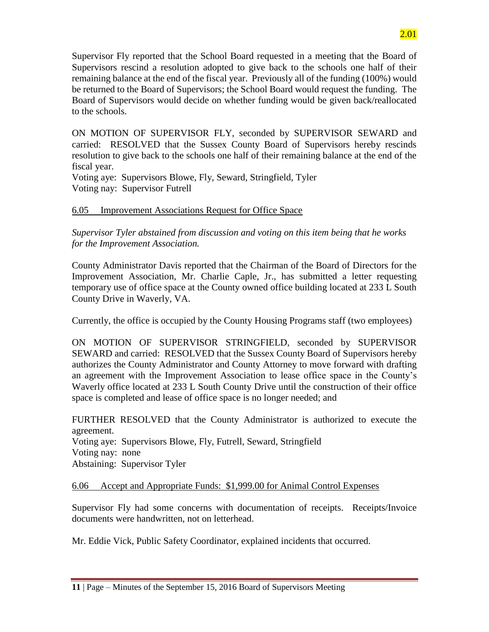Supervisor Fly reported that the School Board requested in a meeting that the Board of Supervisors rescind a resolution adopted to give back to the schools one half of their remaining balance at the end of the fiscal year. Previously all of the funding (100%) would be returned to the Board of Supervisors; the School Board would request the funding. The Board of Supervisors would decide on whether funding would be given back/reallocated to the schools.

ON MOTION OF SUPERVISOR FLY, seconded by SUPERVISOR SEWARD and carried: RESOLVED that the Sussex County Board of Supervisors hereby rescinds resolution to give back to the schools one half of their remaining balance at the end of the fiscal year.

Voting aye: Supervisors Blowe, Fly, Seward, Stringfield, Tyler Voting nay: Supervisor Futrell

## 6.05 Improvement Associations Request for Office Space

*Supervisor Tyler abstained from discussion and voting on this item being that he works for the Improvement Association.*

County Administrator Davis reported that the Chairman of the Board of Directors for the Improvement Association, Mr. Charlie Caple, Jr., has submitted a letter requesting temporary use of office space at the County owned office building located at 233 L South County Drive in Waverly, VA.

Currently, the office is occupied by the County Housing Programs staff (two employees)

ON MOTION OF SUPERVISOR STRINGFIELD, seconded by SUPERVISOR SEWARD and carried: RESOLVED that the Sussex County Board of Supervisors hereby authorizes the County Administrator and County Attorney to move forward with drafting an agreement with the Improvement Association to lease office space in the County's Waverly office located at 233 L South County Drive until the construction of their office space is completed and lease of office space is no longer needed; and

FURTHER RESOLVED that the County Administrator is authorized to execute the agreement. Voting aye: Supervisors Blowe, Fly, Futrell, Seward, Stringfield Voting nay: none Abstaining: Supervisor Tyler

### 6.06 Accept and Appropriate Funds: \$1,999.00 for Animal Control Expenses

Supervisor Fly had some concerns with documentation of receipts. Receipts/Invoice documents were handwritten, not on letterhead.

Mr. Eddie Vick, Public Safety Coordinator, explained incidents that occurred.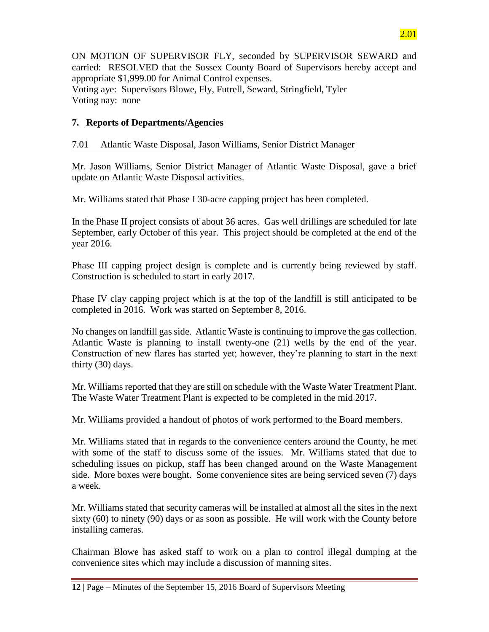ON MOTION OF SUPERVISOR FLY, seconded by SUPERVISOR SEWARD and carried: RESOLVED that the Sussex County Board of Supervisors hereby accept and appropriate \$1,999.00 for Animal Control expenses. Voting aye: Supervisors Blowe, Fly, Futrell, Seward, Stringfield, Tyler

Voting nay: none

## **7. Reports of Departments/Agencies**

## 7.01 Atlantic Waste Disposal, Jason Williams, Senior District Manager

Mr. Jason Williams, Senior District Manager of Atlantic Waste Disposal, gave a brief update on Atlantic Waste Disposal activities.

Mr. Williams stated that Phase I 30-acre capping project has been completed.

In the Phase II project consists of about 36 acres. Gas well drillings are scheduled for late September, early October of this year. This project should be completed at the end of the year 2016.

Phase III capping project design is complete and is currently being reviewed by staff. Construction is scheduled to start in early 2017.

Phase IV clay capping project which is at the top of the landfill is still anticipated to be completed in 2016. Work was started on September 8, 2016.

No changes on landfill gas side. Atlantic Waste is continuing to improve the gas collection. Atlantic Waste is planning to install twenty-one (21) wells by the end of the year. Construction of new flares has started yet; however, they're planning to start in the next thirty (30) days.

Mr. Williams reported that they are still on schedule with the Waste Water Treatment Plant. The Waste Water Treatment Plant is expected to be completed in the mid 2017.

Mr. Williams provided a handout of photos of work performed to the Board members.

Mr. Williams stated that in regards to the convenience centers around the County, he met with some of the staff to discuss some of the issues. Mr. Williams stated that due to scheduling issues on pickup, staff has been changed around on the Waste Management side. More boxes were bought. Some convenience sites are being serviced seven (7) days a week.

Mr. Williams stated that security cameras will be installed at almost all the sites in the next sixty (60) to ninety (90) days or as soon as possible. He will work with the County before installing cameras.

Chairman Blowe has asked staff to work on a plan to control illegal dumping at the convenience sites which may include a discussion of manning sites.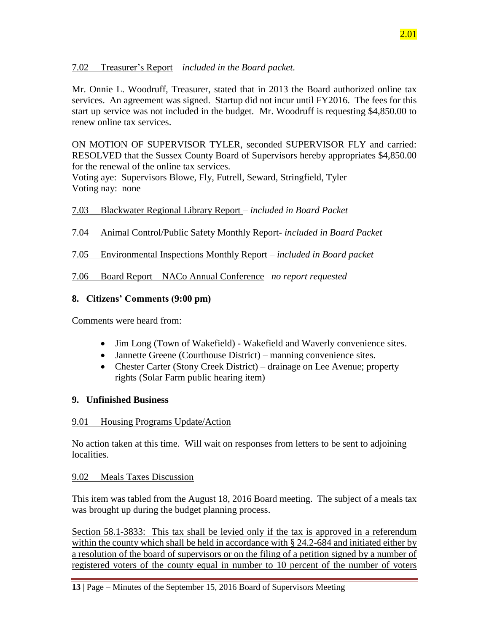## 7.02 Treasurer's Report – *included in the Board packet.*

Mr. Onnie L. Woodruff, Treasurer, stated that in 2013 the Board authorized online tax services. An agreement was signed. Startup did not incur until FY2016. The fees for this start up service was not included in the budget. Mr. Woodruff is requesting \$4,850.00 to renew online tax services.

ON MOTION OF SUPERVISOR TYLER, seconded SUPERVISOR FLY and carried: RESOLVED that the Sussex County Board of Supervisors hereby appropriates \$4,850.00 for the renewal of the online tax services.

Voting aye: Supervisors Blowe, Fly, Futrell, Seward, Stringfield, Tyler Voting nay: none

## 7.03 Blackwater Regional Library Report *– included in Board Packet*

## 7.04 Animal Control/Public Safety Monthly Report- *included in Board Packet*

## 7.05 Environmental Inspections Monthly Report – *included in Board packet*

## 7.06 Board Report – NACo Annual Conference –*no report requested*

## **8. Citizens' Comments (9:00 pm)**

Comments were heard from:

- Jim Long (Town of Wakefield) Wakefield and Waverly convenience sites.
- Jannette Greene (Courthouse District) manning convenience sites.
- Chester Carter (Stony Creek District) drainage on Lee Avenue; property rights (Solar Farm public hearing item)

### **9. Unfinished Business**

### 9.01 Housing Programs Update/Action

No action taken at this time. Will wait on responses from letters to be sent to adjoining localities.

### 9.02 Meals Taxes Discussion

This item was tabled from the August 18, 2016 Board meeting. The subject of a meals tax was brought up during the budget planning process.

Section 58.1-3833: This tax shall be levied only if the tax is approved in a referendum within the county which shall be held in accordance with § 24.2-684 and initiated either by a resolution of the board of supervisors or on the filing of a petition signed by a number of registered voters of the county equal in number to 10 percent of the number of voters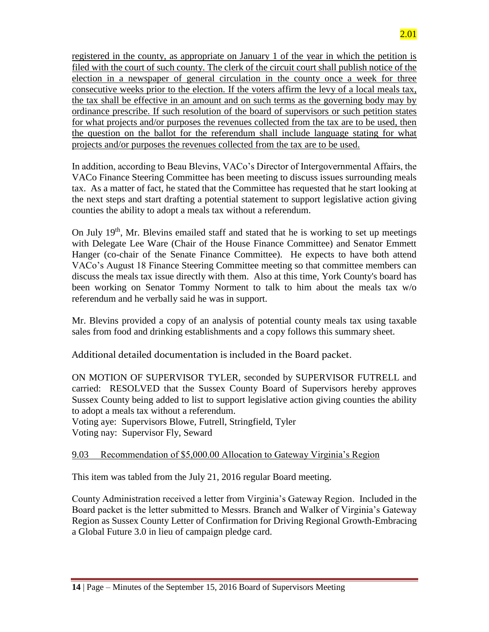registered in the county, as appropriate on January 1 of the year in which the petition is filed with the court of such county. The clerk of the circuit court shall publish notice of the election in a newspaper of general circulation in the county once a week for three consecutive weeks prior to the election. If the voters affirm the levy of a local meals tax, the tax shall be effective in an amount and on such terms as the governing body may by ordinance prescribe. If such resolution of the board of supervisors or such petition states for what projects and/or purposes the revenues collected from the tax are to be used, then the question on the ballot for the referendum shall include language stating for what projects and/or purposes the revenues collected from the tax are to be used.

In addition, according to Beau Blevins, VACo's Director of Intergovernmental Affairs, the VACo Finance Steering Committee has been meeting to discuss issues surrounding meals tax. As a matter of fact, he stated that the Committee has requested that he start looking at the next steps and start drafting a potential statement to support legislative action giving counties the ability to adopt a meals tax without a referendum.

On July 19<sup>th</sup>, Mr. Blevins emailed staff and stated that he is working to set up meetings with Delegate Lee Ware (Chair of the House Finance Committee) and Senator Emmett Hanger (co-chair of the Senate Finance Committee). He expects to have both attend VACo's August 18 Finance Steering Committee meeting so that committee members can discuss the meals tax issue directly with them. Also at this time, York County's board has been working on Senator Tommy Norment to talk to him about the meals tax w/o referendum and he verbally said he was in support.

Mr. Blevins provided a copy of an analysis of potential county meals tax using taxable sales from food and drinking establishments and a copy follows this summary sheet.

Additional detailed documentation is included in the Board packet.

ON MOTION OF SUPERVISOR TYLER, seconded by SUPERVISOR FUTRELL and carried: RESOLVED that the Sussex County Board of Supervisors hereby approves Sussex County being added to list to support legislative action giving counties the ability to adopt a meals tax without a referendum.

Voting aye: Supervisors Blowe, Futrell, Stringfield, Tyler Voting nay: Supervisor Fly, Seward

# 9.03 Recommendation of \$5,000.00 Allocation to Gateway Virginia's Region

This item was tabled from the July 21, 2016 regular Board meeting.

County Administration received a letter from Virginia's Gateway Region. Included in the Board packet is the letter submitted to Messrs. Branch and Walker of Virginia's Gateway Region as Sussex County Letter of Confirmation for Driving Regional Growth-Embracing a Global Future 3.0 in lieu of campaign pledge card.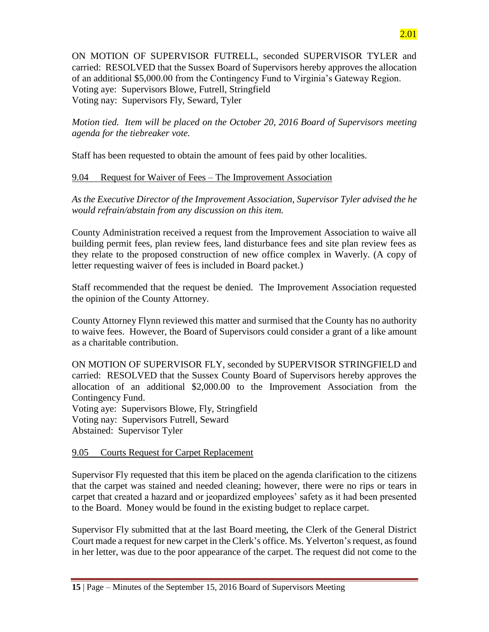ON MOTION OF SUPERVISOR FUTRELL, seconded SUPERVISOR TYLER and carried: RESOLVED that the Sussex Board of Supervisors hereby approves the allocation of an additional \$5,000.00 from the Contingency Fund to Virginia's Gateway Region. Voting aye: Supervisors Blowe, Futrell, Stringfield Voting nay: Supervisors Fly, Seward, Tyler

*Motion tied. Item will be placed on the October 20, 2016 Board of Supervisors meeting agenda for the tiebreaker vote.*

Staff has been requested to obtain the amount of fees paid by other localities.

# 9.04 Request for Waiver of Fees – The Improvement Association

*As the Executive Director of the Improvement Association, Supervisor Tyler advised the he would refrain/abstain from any discussion on this item.*

County Administration received a request from the Improvement Association to waive all building permit fees, plan review fees, land disturbance fees and site plan review fees as they relate to the proposed construction of new office complex in Waverly. (A copy of letter requesting waiver of fees is included in Board packet.)

Staff recommended that the request be denied. The Improvement Association requested the opinion of the County Attorney.

County Attorney Flynn reviewed this matter and surmised that the County has no authority to waive fees. However, the Board of Supervisors could consider a grant of a like amount as a charitable contribution.

ON MOTION OF SUPERVISOR FLY, seconded by SUPERVISOR STRINGFIELD and carried: RESOLVED that the Sussex County Board of Supervisors hereby approves the allocation of an additional \$2,000.00 to the Improvement Association from the Contingency Fund.

Voting aye: Supervisors Blowe, Fly, Stringfield Voting nay: Supervisors Futrell, Seward Abstained: Supervisor Tyler

# 9.05 Courts Request for Carpet Replacement

Supervisor Fly requested that this item be placed on the agenda clarification to the citizens that the carpet was stained and needed cleaning; however, there were no rips or tears in carpet that created a hazard and or jeopardized employees' safety as it had been presented to the Board. Money would be found in the existing budget to replace carpet.

Supervisor Fly submitted that at the last Board meeting, the Clerk of the General District Court made a request for new carpet in the Clerk's office. Ms. Yelverton'srequest, as found in her letter, was due to the poor appearance of the carpet. The request did not come to the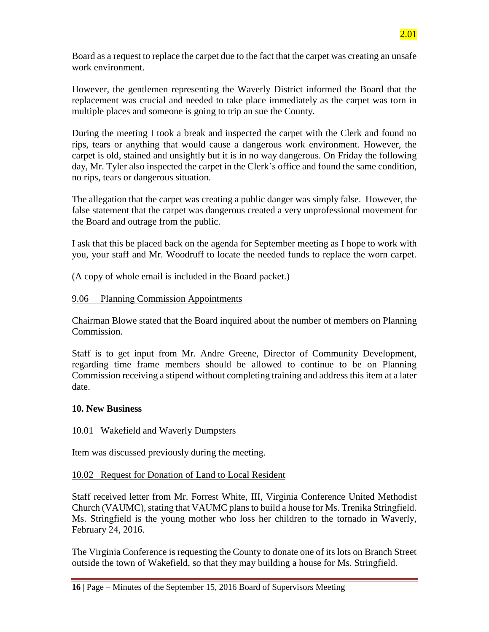Board as a request to replace the carpet due to the fact that the carpet was creating an unsafe work environment.

However, the gentlemen representing the Waverly District informed the Board that the replacement was crucial and needed to take place immediately as the carpet was torn in multiple places and someone is going to trip an sue the County.

During the meeting I took a break and inspected the carpet with the Clerk and found no rips, tears or anything that would cause a dangerous work environment. However, the carpet is old, stained and unsightly but it is in no way dangerous. On Friday the following day, Mr. Tyler also inspected the carpet in the Clerk's office and found the same condition, no rips, tears or dangerous situation.

The allegation that the carpet was creating a public danger was simply false. However, the false statement that the carpet was dangerous created a very unprofessional movement for the Board and outrage from the public.

I ask that this be placed back on the agenda for September meeting as I hope to work with you, your staff and Mr. Woodruff to locate the needed funds to replace the worn carpet.

(A copy of whole email is included in the Board packet.)

#### 9.06 Planning Commission Appointments

Chairman Blowe stated that the Board inquired about the number of members on Planning Commission.

Staff is to get input from Mr. Andre Greene, Director of Community Development, regarding time frame members should be allowed to continue to be on Planning Commission receiving a stipend without completing training and address this item at a later date.

#### **10. New Business**

### 10.01 Wakefield and Waverly Dumpsters

Item was discussed previously during the meeting.

#### 10.02 Request for Donation of Land to Local Resident

Staff received letter from Mr. Forrest White, III, Virginia Conference United Methodist Church (VAUMC), stating that VAUMC plans to build a house for Ms. Trenika Stringfield. Ms. Stringfield is the young mother who loss her children to the tornado in Waverly, February 24, 2016.

The Virginia Conference is requesting the County to donate one of its lots on Branch Street outside the town of Wakefield, so that they may building a house for Ms. Stringfield.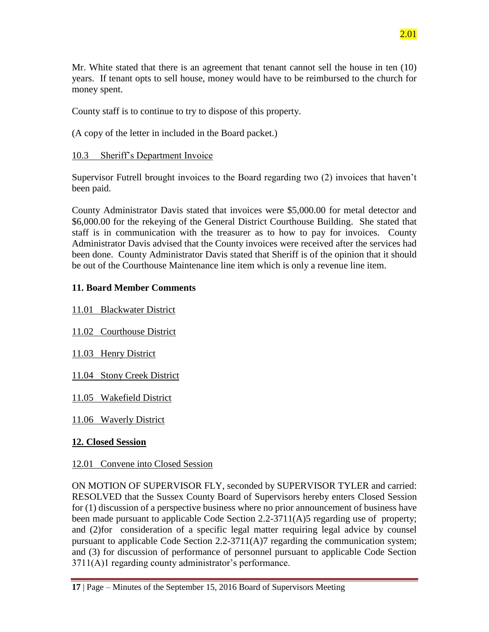2.01

Mr. White stated that there is an agreement that tenant cannot sell the house in ten (10) years. If tenant opts to sell house, money would have to be reimbursed to the church for money spent.

County staff is to continue to try to dispose of this property.

(A copy of the letter in included in the Board packet.)

10.3 Sheriff's Department Invoice

Supervisor Futrell brought invoices to the Board regarding two (2) invoices that haven't been paid.

County Administrator Davis stated that invoices were \$5,000.00 for metal detector and \$6,000.00 for the rekeying of the General District Courthouse Building. She stated that staff is in communication with the treasurer as to how to pay for invoices. County Administrator Davis advised that the County invoices were received after the services had been done. County Administrator Davis stated that Sheriff is of the opinion that it should be out of the Courthouse Maintenance line item which is only a revenue line item.

# **11. Board Member Comments**

11.01 Blackwater District

11.02 Courthouse District

11.03 Henry District

11.04 Stony Creek District

11.05 Wakefield District

11.06 Waverly District

# **12. Closed Session**

# 12.01 Convene into Closed Session

ON MOTION OF SUPERVISOR FLY, seconded by SUPERVISOR TYLER and carried: RESOLVED that the Sussex County Board of Supervisors hereby enters Closed Session for (1) discussion of a perspective business where no prior announcement of business have been made pursuant to applicable Code Section 2.2-3711(A)5 regarding use of property; and (2)for consideration of a specific legal matter requiring legal advice by counsel pursuant to applicable Code Section 2.2-3711(A)7 regarding the communication system; and (3) for discussion of performance of personnel pursuant to applicable Code Section 3711(A)1 regarding county administrator's performance.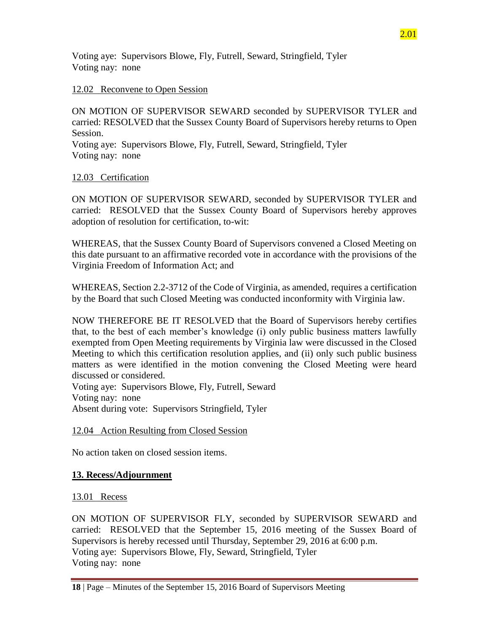Voting aye: Supervisors Blowe, Fly, Futrell, Seward, Stringfield, Tyler Voting nay: none

#### 12.02 Reconvene to Open Session

ON MOTION OF SUPERVISOR SEWARD seconded by SUPERVISOR TYLER and carried: RESOLVED that the Sussex County Board of Supervisors hereby returns to Open Session.

Voting aye: Supervisors Blowe, Fly, Futrell, Seward, Stringfield, Tyler Voting nay: none

#### 12.03 Certification

ON MOTION OF SUPERVISOR SEWARD, seconded by SUPERVISOR TYLER and carried: RESOLVED that the Sussex County Board of Supervisors hereby approves adoption of resolution for certification, to-wit:

WHEREAS, that the Sussex County Board of Supervisors convened a Closed Meeting on this date pursuant to an affirmative recorded vote in accordance with the provisions of the Virginia Freedom of Information Act; and

WHEREAS, Section 2.2-3712 of the Code of Virginia, as amended, requires a certification by the Board that such Closed Meeting was conducted inconformity with Virginia law.

NOW THEREFORE BE IT RESOLVED that the Board of Supervisors hereby certifies that, to the best of each member's knowledge (i) only public business matters lawfully exempted from Open Meeting requirements by Virginia law were discussed in the Closed Meeting to which this certification resolution applies, and (ii) only such public business matters as were identified in the motion convening the Closed Meeting were heard discussed or considered.

Voting aye: Supervisors Blowe, Fly, Futrell, Seward Voting nay: none Absent during vote: Supervisors Stringfield, Tyler

#### 12.04 Action Resulting from Closed Session

No action taken on closed session items.

#### **13. Recess/Adjournment**

#### 13.01 Recess

ON MOTION OF SUPERVISOR FLY, seconded by SUPERVISOR SEWARD and carried: RESOLVED that the September 15, 2016 meeting of the Sussex Board of Supervisors is hereby recessed until Thursday, September 29, 2016 at 6:00 p.m. Voting aye: Supervisors Blowe, Fly, Seward, Stringfield, Tyler Voting nay: none